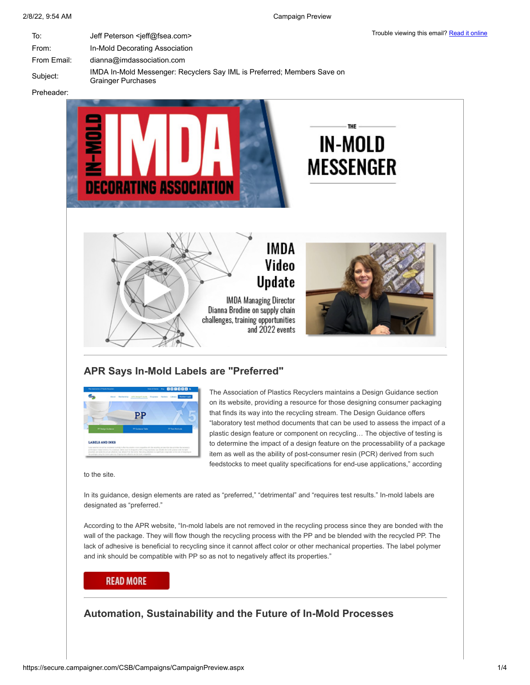| To:         | Jeff Peterson <jeff@fsea.com></jeff@fsea.com>                                                        | TIQUDI <del>E</del> VIE |
|-------------|------------------------------------------------------------------------------------------------------|-------------------------|
| From:       | In-Mold Decorating Association                                                                       |                         |
| From Email: | $d$ ianna@imdassociation.com                                                                         |                         |
| Subiect:    | IMDA In-Mold Messenger: Recyclers Say IML is Preferred; Members Save on<br><b>Grainger Purchases</b> |                         |

Preheader:



and 2022 events

### **APR Says In-Mold Labels are "Preferred"**



The Association of Plastics Recyclers maintains a Design Guidance section on its website, providing a resource for those designing consumer packaging that finds its way into the recycling stream. The Design Guidance offers "laboratory test method documents that can be used to assess the impact of a plastic design feature or component on recycling… The objective of testing is to determine the impact of a design feature on the processability of a package item as well as the ability of post-consumer resin (PCR) derived from such feedstocks to meet quality specifications for end-use applications," according

to the site.

In its guidance, design elements are rated as "preferred," "detrimental" and "requires test results." In-mold labels are designated as "preferred."

According to the APR website, "In-mold labels are not removed in the recycling process since they are bonded with the wall of the package. They will flow though the recycling process with the PP and be blended with the recycled PP. The lack of adhesive is beneficial to recycling since it cannot affect color or other mechanical properties. The label polymer and ink should be compatible with PP so as not to negatively affect its properties."

#### **READ MORE**

# **Automation, Sustainability and the Future of In-Mold Processes**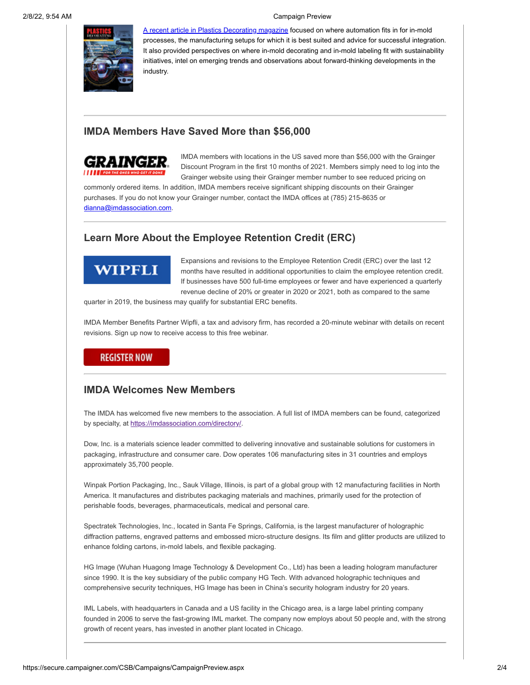2/8/22, 9:54 AM Campaign Preview



[A recent article in Plastics Decorating magazine](https://plasticsdecorating.com/articles/2021/automation-sustainability-and-the-future-of-in-mold-processes/) focused on where automation fits in for in-mold processes, the manufacturing setups for which it is best suited and advice for successful integration. It also provided perspectives on where in-mold decorating and in-mold labeling fit with sustainability initiatives, intel on emerging trends and observations about forward-thinking developments in the industry.

# **IMDA Members Have Saved More than \$56,000**



IMDA members with locations in the US saved more than \$56,000 with the Grainger Discount Program in the first 10 months of 2021. Members simply need to log into the Grainger website using their Grainger member number to see reduced pricing on

commonly ordered items. In addition, IMDA members receive significant shipping discounts on their Grainger purchases. If you do not know your Grainger number, contact the IMDA offices at (785) 215-8635 or [dianna@imdassociation.com.](mailto:dianna@imdassociation.com)

# **Learn More About the Employee Retention Credit (ERC)**

# **WIPFLI**

Expansions and revisions to the Employee Retention Credit (ERC) over the last 12 months have resulted in additional opportunities to claim the employee retention credit. If businesses have 500 full-time employees or fewer and have experienced a quarterly revenue decline of 20% or greater in 2020 or 2021, both as compared to the same

quarter in 2019, the business may qualify for substantial ERC benefits.

IMDA Member Benefits Partner Wipfli, a tax and advisory firm, has recorded a 20-minute webinar with details on recent revisions. Sign up now to receive access to this free webinar.

## **REGISTER NOW**

## **IMDA Welcomes New Members**

The IMDA has welcomed five new members to the association. A full list of IMDA members can be found, categorized by specialty, at <https://imdassociation.com/directory/>.

Dow, Inc. is a materials science leader committed to delivering innovative and sustainable solutions for customers in packaging, infrastructure and consumer care. Dow operates 106 manufacturing sites in 31 countries and employs approximately 35,700 people.

Winpak Portion Packaging, Inc., Sauk Village, Illinois, is part of a global group with 12 manufacturing facilities in North America. It manufactures and distributes packaging materials and machines, primarily used for the protection of perishable foods, beverages, pharmaceuticals, medical and personal care.

Spectratek Technologies, Inc., located in Santa Fe Springs, California, is the largest manufacturer of holographic diffraction patterns, engraved patterns and embossed micro-structure designs. Its film and glitter products are utilized to enhance folding cartons, in-mold labels, and flexible packaging.

HG Image (Wuhan Huagong Image Technology & Development Co., Ltd) has been a leading hologram manufacturer since 1990. It is the key subsidiary of the public company HG Tech. With advanced holographic techniques and comprehensive security techniques, HG Image has been in China's security hologram industry for 20 years.

IML Labels, with headquarters in Canada and a US facility in the Chicago area, is a large label printing company founded in 2006 to serve the fast-growing IML market. The company now employs about 50 people and, with the strong growth of recent years, has invested in another plant located in Chicago.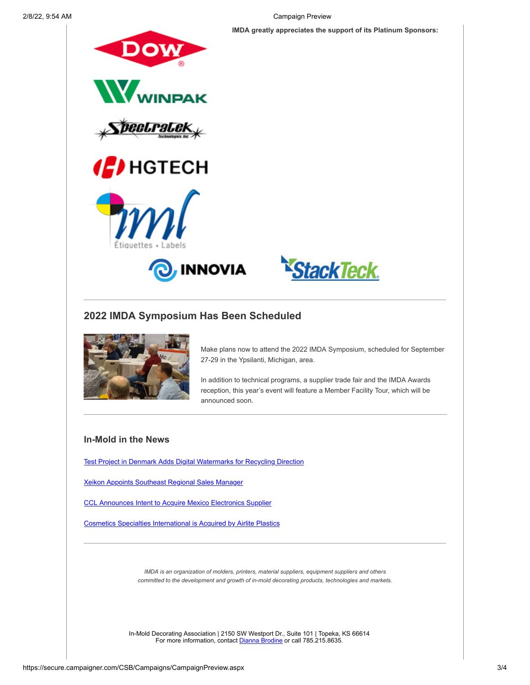2/8/22, 9:54 AM Campaign Preview

**IMDA greatly appreciates the support of its Platinum Sponsors:**





## **2022 IMDA Symposium Has Been Scheduled**



Make plans now to attend the 2022 IMDA Symposium, scheduled for September 27-29 in the Ypsilanti, Michigan, area.

In addition to technical programs, a supplier trade fair and the IMDA Awards reception, this year's event will feature a Member Facility Tour, which will be announced soon.

### **In-Mold in the News**

[Test Project in Denmark Adds Digital Watermarks for Recycling Direction](https://imdassociation.com/test-project-in-denmark-adds-digital-watermarks-for-recycling-direction/)

[Xeikon Appoints Southeast Regional Sales Manager](https://imdassociation.com/xeikon-appoints-southeast-region-sales-manager/)

[CCL Announces Intent to Acquire Mexico Electronics Supplier](https://imdassociation.com/ccl-industries-announces-intent-to-acquire-mexico-electronics-supplier/)

[Cosmetics Specialties International is Acquired by Airlite Plastics](https://imdassociation.com/cosmetic-specialties-international-is-acquired-by-airlite-plastics/)

*IMDA is an organization of molders, printers, material suppliers, equipment suppliers and others committed to the development and growth of in-mold decorating products, technologies and markets.*

In-Mold Decorating Association | 2150 SW Westport Dr., Suite 101 | Topeka, KS 66614 For more information, contact [Dianna Brodine](mailto:dianna@imdassociation.com) or call 785.215.8635.